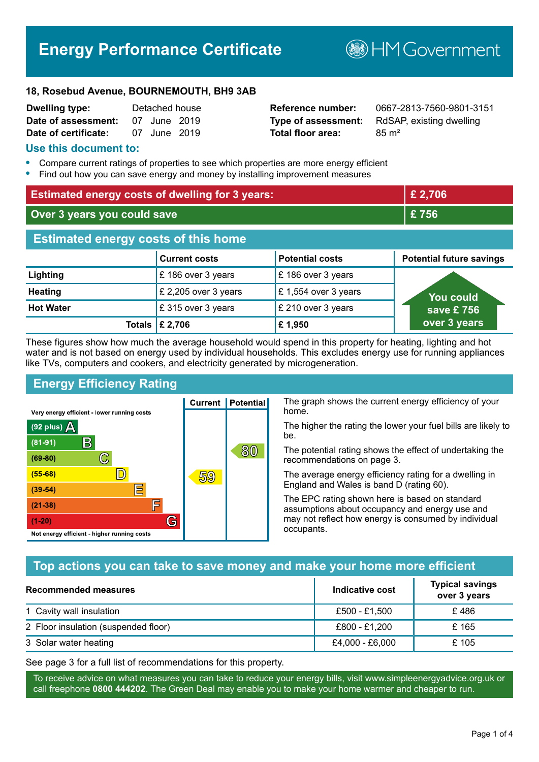# **Energy Performance Certificate**

**B**HMGovernment

#### **18, Rosebud Avenue, BOURNEMOUTH, BH9 3AB**

| <b>Dwelling type:</b> | Detached house |  |
|-----------------------|----------------|--|
| Date of assessment:   | 07 June 2019   |  |
| Date of certificate:  | 07 June 2019   |  |

# **Total floor area:** 85 m<sup>2</sup>

**Reference number:** 0667-2813-7560-9801-3151 **Type of assessment:** RdSAP, existing dwelling

#### **Use this document to:**

- **•** Compare current ratings of properties to see which properties are more energy efficient
- **•** Find out how you can save energy and money by installing improvement measures

| <b>Estimated energy costs of dwelling for 3 years:</b> |                                 | £ 2,706                |                                 |
|--------------------------------------------------------|---------------------------------|------------------------|---------------------------------|
| Over 3 years you could save                            |                                 | £756                   |                                 |
| <b>Estimated energy costs of this home</b>             |                                 |                        |                                 |
|                                                        | <b>Current costs</b>            | <b>Potential costs</b> | <b>Potential future savings</b> |
| Lighting                                               | £186 over 3 years               | £186 over 3 years      |                                 |
| <b>Heating</b>                                         | £ 2,205 over 3 years            | £1,554 over 3 years    | <u>Yo</u> u could               |
| <b>Hot Water</b>                                       | £315 over 3 years               | £ 210 over 3 years     | save £756                       |
|                                                        | Totals $\mathbf \epsilon$ 2,706 | £1,950                 | over 3 years                    |

These figures show how much the average household would spend in this property for heating, lighting and hot water and is not based on energy used by individual households. This excludes energy use for running appliances like TVs, computers and cookers, and electricity generated by microgeneration.

**Current | Potential** 

59

# **Energy Efficiency Rating**

 $\mathbb{C}$ 

 $\mathbb{D}$ 

E

庐

G

Very energy efficient - lower running costs

R

Not energy efficient - higher running costs

(92 plus)  $\Delta$ 

 $(81 - 91)$ 

 $(69 - 80)$ 

 $(55-68)$ 

 $(39 - 54)$ 

 $(21-38)$ 

 $(1-20)$ 

The graph shows the current energy efficiency of your home.

The higher the rating the lower your fuel bills are likely to be.

The potential rating shows the effect of undertaking the recommendations on page 3.

The average energy efficiency rating for a dwelling in England and Wales is band D (rating 60).

The EPC rating shown here is based on standard assumptions about occupancy and energy use and may not reflect how energy is consumed by individual occupants.

# **Top actions you can take to save money and make your home more efficient**

80

| Recommended measures                 | Indicative cost | <b>Typical savings</b><br>over 3 years |
|--------------------------------------|-----------------|----------------------------------------|
| 1 Cavity wall insulation             | £500 - £1,500   | £486                                   |
| 2 Floor insulation (suspended floor) | £800 - £1,200   | £165                                   |
| 3 Solar water heating                | £4,000 - £6,000 | £ 105                                  |

See page 3 for a full list of recommendations for this property.

To receive advice on what measures you can take to reduce your energy bills, visit www.simpleenergyadvice.org.uk or call freephone **0800 444202**. The Green Deal may enable you to make your home warmer and cheaper to run.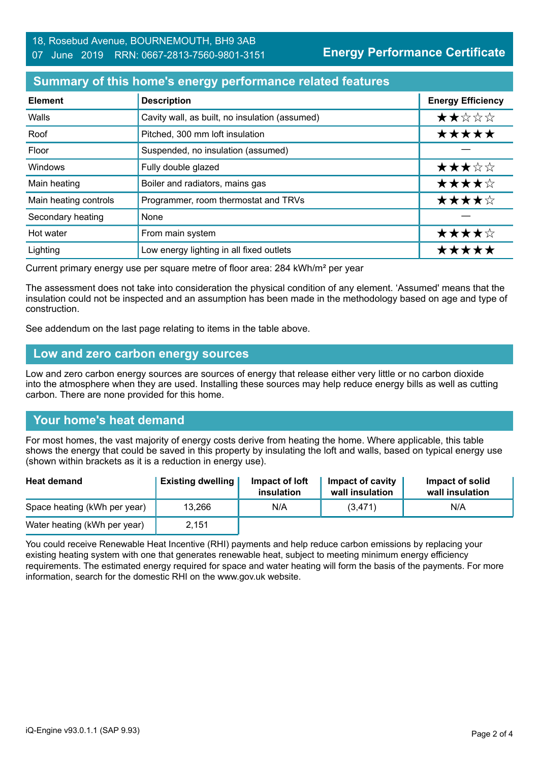#### **Summary of this home's energy performance related features**

| <b>Element</b>        | <b>Description</b>                             | <b>Energy Efficiency</b> |
|-----------------------|------------------------------------------------|--------------------------|
| Walls                 | Cavity wall, as built, no insulation (assumed) | ★★☆☆☆                    |
| Roof                  | Pitched, 300 mm loft insulation                | *****                    |
| Floor                 | Suspended, no insulation (assumed)             |                          |
| Windows               | Fully double glazed                            | ★★★☆☆                    |
| Main heating          | Boiler and radiators, mains gas                | ★★★★☆                    |
| Main heating controls | Programmer, room thermostat and TRVs           | ★★★★☆                    |
| Secondary heating     | None                                           |                          |
| Hot water             | From main system                               | ★★★★☆                    |
| Lighting              | Low energy lighting in all fixed outlets       | *****                    |

Current primary energy use per square metre of floor area: 284 kWh/m² per year

The assessment does not take into consideration the physical condition of any element. 'Assumed' means that the insulation could not be inspected and an assumption has been made in the methodology based on age and type of construction.

See addendum on the last page relating to items in the table above.

#### **Low and zero carbon energy sources**

Low and zero carbon energy sources are sources of energy that release either very little or no carbon dioxide into the atmosphere when they are used. Installing these sources may help reduce energy bills as well as cutting carbon. There are none provided for this home.

# **Your home's heat demand**

For most homes, the vast majority of energy costs derive from heating the home. Where applicable, this table shows the energy that could be saved in this property by insulating the loft and walls, based on typical energy use (shown within brackets as it is a reduction in energy use).

| <b>Heat demand</b>           | <b>Existing dwelling</b> | Impact of loft<br>insulation | Impact of cavity<br>wall insulation | Impact of solid<br>wall insulation |
|------------------------------|--------------------------|------------------------------|-------------------------------------|------------------------------------|
| Space heating (kWh per year) | 13,266                   | N/A                          | (3,471)                             | N/A                                |
| Water heating (kWh per year) | 2,151                    |                              |                                     |                                    |

You could receive Renewable Heat Incentive (RHI) payments and help reduce carbon emissions by replacing your existing heating system with one that generates renewable heat, subject to meeting minimum energy efficiency requirements. The estimated energy required for space and water heating will form the basis of the payments. For more information, search for the domestic RHI on the www.gov.uk website.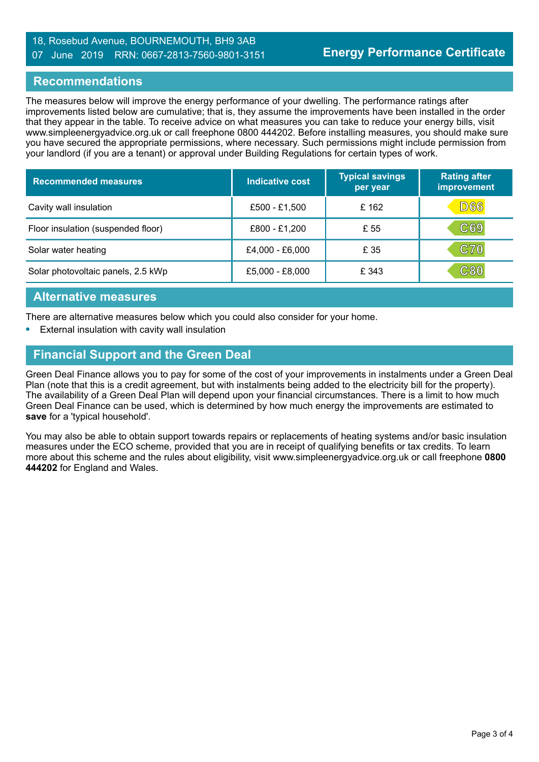#### 18, Rosebud Avenue, BOURNEMOUTH, BH9 3AB 07 June 2019 RRN: 0667-2813-7560-9801-3151

#### **Recommendations**

The measures below will improve the energy performance of your dwelling. The performance ratings after improvements listed below are cumulative; that is, they assume the improvements have been installed in the order that they appear in the table. To receive advice on what measures you can take to reduce your energy bills, visit www.simpleenergyadvice.org.uk or call freephone 0800 444202. Before installing measures, you should make sure you have secured the appropriate permissions, where necessary. Such permissions might include permission from your landlord (if you are a tenant) or approval under Building Regulations for certain types of work.

| <b>Recommended measures</b>        | Indicative cost | <b>Typical savings</b><br>per year | <b>Rating after</b><br>improvement |
|------------------------------------|-----------------|------------------------------------|------------------------------------|
| Cavity wall insulation             | £500 - £1,500   | £ 162                              | D66                                |
| Floor insulation (suspended floor) | £800 - £1,200   | £ 55                               | C69                                |
| Solar water heating                | £4,000 - £6,000 | £ 35                               | <b>C70</b>                         |
| Solar photovoltaic panels, 2.5 kWp | £5,000 - £8,000 | £ 343                              | ${\bf C80}$                        |

#### **Alternative measures**

There are alternative measures below which you could also consider for your home.

**•** External insulation with cavity wall insulation

#### **Financial Support and the Green Deal**

Green Deal Finance allows you to pay for some of the cost of your improvements in instalments under a Green Deal Plan (note that this is a credit agreement, but with instalments being added to the electricity bill for the property). The availability of a Green Deal Plan will depend upon your financial circumstances. There is a limit to how much Green Deal Finance can be used, which is determined by how much energy the improvements are estimated to **save** for a 'typical household'.

You may also be able to obtain support towards repairs or replacements of heating systems and/or basic insulation measures under the ECO scheme, provided that you are in receipt of qualifying benefits or tax credits. To learn more about this scheme and the rules about eligibility, visit www.simpleenergyadvice.org.uk or call freephone **0800 444202** for England and Wales.